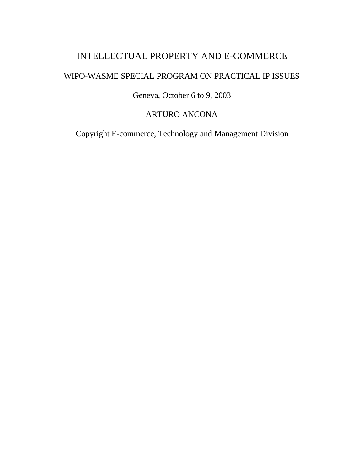# INTELLECTUAL PROPERTY AND E-COMMERCE

# WIPO-WASME SPECIAL PROGRAM ON PRACTICAL IP ISSUES

# Geneva, October 6 to 9, 2003

# ARTURO ANCONA

Copyright E-commerce, Technology and Management Division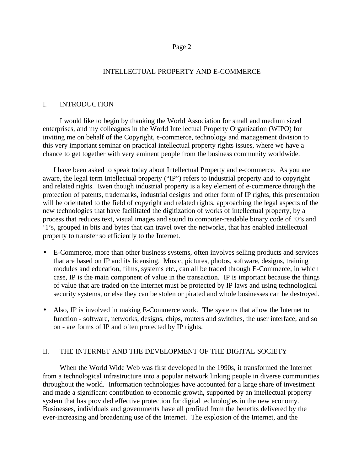# INTELLECTUAL PROPERTY AND E-COMMERCE

## I. INTRODUCTION

I would like to begin by thanking the World Association for small and medium sized enterprises, and my colleagues in the World Intellectual Property Organization (WIPO) for inviting me on behalf of the Copyright, e-commerce, technology and management division to this very important seminar on practical intellectual property rights issues, where we have a chance to get together with very eminent people from the business community worldwide.

I have been asked to speak today about Intellectual Property and e-commerce. As you are aware, the legal term Intellectual property ("IP") refers to industrial property and to copyright and related rights. Even though industrial property is a key element of e-commerce through the protection of patents, trademarks, industrial designs and other form of IP rights, this presentation will be orientated to the field of copyright and related rights, approaching the legal aspects of the new technologies that have facilitated the digitization of works of intellectual property, by a process that reduces text, visual images and sound to computer-readable binary code of '0's and '1's, grouped in bits and bytes that can travel over the networks, that has enabled intellectual property to transfer so efficiently to the Internet.

- E-Commerce, more than other business systems, often involves selling products and services that are based on IP and its licensing. Music, pictures, photos, software, designs, training modules and education, films, systems etc., can all be traded through E-Commerce, in which case, IP is the main component of value in the transaction. IP is important because the things of value that are traded on the Internet must be protected by IP laws and using technological security systems, or else they can be stolen or pirated and whole businesses can be destroyed.
- Also, IP is involved in making E-Commerce work. The systems that allow the Internet to function - software, networks, designs, chips, routers and switches, the user interface, and so on - are forms of IP and often protected by IP rights.

# II. THE INTERNET AND THE DEVELOPMENT OF THE DIGITAL SOCIETY

When the World Wide Web was first developed in the 1990s, it transformed the Internet from a technological infrastructure into a popular network linking people in diverse communities throughout the world. Information technologies have accounted for a large share of investment and made a significant contribution to economic growth, supported by an intellectual property system that has provided effective protection for digital technologies in the new economy. Businesses, individuals and governments have all profited from the benefits delivered by the ever-increasing and broadening use of the Internet. The explosion of the Internet, and the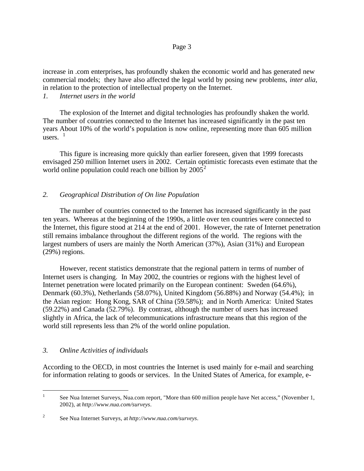increase in .com enterprises, has profoundly shaken the economic world and has generated new commercial models; they have also affected the legal world by posing new problems, *inter alia*, in relation to the protection of intellectual property on the Internet.

*1. Internet users in the world*

The explosion of the Internet and digital technologies has profoundly shaken the world. The number of countries connected to the Internet has increased significantly in the past ten years About 10% of the world's population is now online, representing more than 605 million users.  $<sup>1</sup>$ </sup>

This figure is increasing more quickly than earlier foreseen, given that 1999 forecasts envisaged 250 million Internet users in 2002. Certain optimistic forecasts even estimate that the world online population could reach one billion by  $2005^2$ 

# *2. Geographical Distribution of On line Population*

The number of countries connected to the Internet has increased significantly in the past ten years. Whereas at the beginning of the 1990s, a little over ten countries were connected to the Internet, this figure stood at 214 at the end of 2001. However, the rate of Internet penetration still remains imbalance throughout the different regions of the world. The regions with the largest numbers of users are mainly the North American (37%), Asian (31%) and European (29%) regions.

However, recent statistics demonstrate that the regional pattern in terms of number of Internet users is changing. In May 2002, the countries or regions with the highest level of Internet penetration were located primarily on the European continent: Sweden (64.6%), Denmark (60.3%), Netherlands (58.07%), United Kingdom (56.88%) and Norway (54.4%); in the Asian region: Hong Kong, SAR of China (59.58%); and in North America: United States (59.22%) and Canada (52.79%). By contrast, although the number of users has increased slightly in Africa, the lack of telecommunications infrastructure means that this region of the world still represents less than 2% of the world online population.

# *3. Online Activities of individuals*

According to the OECD, in most countries the Internet is used mainly for e-mail and searching for information relating to goods or services. In the United States of America, for example, e-

### Page 3

 $\frac{1}{1}$ See Nua Internet Surveys, Nua.com report, "More than 600 million people have Net access," (November 1, 2002), at *http://www.nua.com/surveys*.

<sup>2</sup> See Nua Internet Surveys, at *http://www.nua.com/surveys*.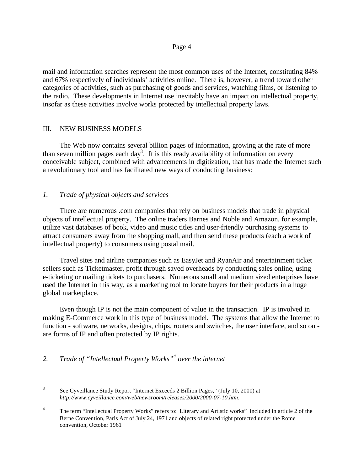mail and information searches represent the most common uses of the Internet, constituting 84% and 67% respectively of individuals' activities online. There is, however, a trend toward other categories of activities, such as purchasing of goods and services, watching films, or listening to the radio. These developments in Internet use inevitably have an impact on intellectual property, insofar as these activities involve works protected by intellectual property laws.

### III. NEW BUSINESS MODELS

The Web now contains several billion pages of information, growing at the rate of more than seven million pages each day<sup>3</sup>. It is this ready availability of information on every conceivable subject, combined with advancements in digitization, that has made the Internet such a revolutionary tool and has facilitated new ways of conducting business:

# *1. Trade of physical objects and services*

There are numerous .com companies that rely on business models that trade in physical objects of intellectual property. The online traders Barnes and Noble and Amazon, for example, utilize vast databases of book, video and music titles and user-friendly purchasing systems to attract consumers away from the shopping mall, and then send these products (each a work of intellectual property) to consumers using postal mail.

Travel sites and airline companies such as EasyJet and RyanAir and entertainment ticket sellers such as Ticketmaster, profit through saved overheads by conducting sales online, using e-ticketing or mailing tickets to purchasers. Numerous small and medium sized enterprises have used the Internet in this way, as a marketing tool to locate buyers for their products in a huge global marketplace.

Even though IP is not the main component of value in the transaction. IP is involved in making E-Commerce work in this type of business model. The systems that allow the Internet to function - software, networks, designs, chips, routers and switches, the user interface, and so on are forms of IP and often protected by IP rights.

# *2. Trade of "Intellectual Property Works"<sup>4</sup> over the internet*

<sup>&</sup>lt;sup>2</sup><br>3 See Cyveillance Study Report "Internet Exceeds 2 Billion Pages," (July 10, 2000) at *http://www.cyveillance.com/web/newsroom/releases/2000/2000-07-10.htm*.

<sup>4</sup> The term "Intellectual Property Works" refers to: Literary and Artistic works" included in article 2 of the Berne Convention, Paris Act of July 24, 1971 and objects of related right protected under the Rome convention, October 1961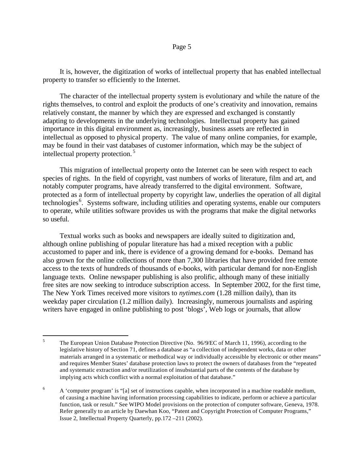It is, however, the digitization of works of intellectual property that has enabled intellectual property to transfer so efficiently to the Internet.

The character of the intellectual property system is evolutionary and while the nature of the rights themselves, to control and exploit the products of one's creativity and innovation, remains relatively constant, the manner by which they are expressed and exchanged is constantly adapting to developments in the underlying technologies. Intellectual property has gained importance in this digital environment as, increasingly, business assets are reflected in intellectual as opposed to physical property. The value of many online companies, for example, may be found in their vast databases of customer information, which may be the subject of intellectual property protection. <sup>5</sup>

This migration of intellectual property onto the Internet can be seen with respect to each species of rights. In the field of copyright, vast numbers of works of literature, film and art, and notably computer programs, have already transferred to the digital environment. Software, protected as a form of intellectual property by copyright law, underlies the operation of all digital technologies<sup>6</sup>. Systems software, including utilities and operating systems, enable our computers to operate, while utilities software provides us with the programs that make the digital networks so useful.

Textual works such as books and newspapers are ideally suited to digitization and, although online publishing of popular literature has had a mixed reception with a public accustomed to paper and ink, there is evidence of a growing demand for e-books. Demand has also grown for the online collections of more than 7,300 libraries that have provided free remote access to the texts of hundreds of thousands of e-books, with particular demand for non-English language texts. Online newspaper publishing is also prolific, although many of these initially free sites are now seeking to introduce subscription access. In September 2002, for the first time, The New York Times received more visitors to *nytimes.com* (1.28 million daily), than its weekday paper circulation (1.2 million daily). Increasingly, numerous journalists and aspiring writers have engaged in online publishing to post 'blogs', Web logs or journals, that allow

 $\frac{1}{5}$ The European Union Database Protection Directive (No. 96/9/EC of March 11, 1996), according to the legislative history of Section 71, defines a database as "a collection of independent works, data or other materials arranged in a systematic or methodical way or individually accessible by electronic or other means" and requires Member States' database protection laws to protect the owners of databases from the "repeated and systematic extraction and/or reutilization of insubstantial parts of the contents of the database by implying acts which conflict with a normal exploitation of that database."

<sup>6</sup> A 'computer program' is "[a] set of instructions capable, when incorporated in a machine readable medium, of causing a machine having information processing capabilities to indicate, perform or achieve a particular function, task or result." See WIPO Model provisions on the protection of computer software, Geneva, 1978. Refer generally to an article by Daewhan Koo, "Patent and Copyright Protection of Computer Programs," Issue 2, Intellectual Property Quarterly, pp.172 –211 (2002).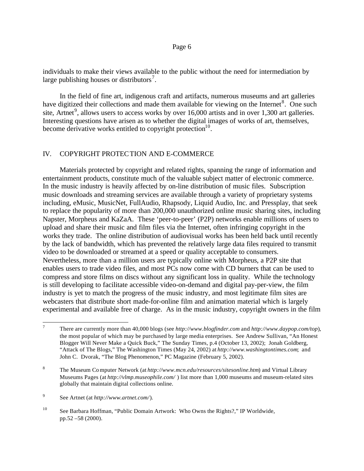individuals to make their views available to the public without the need for intermediation by large publishing houses or distributors<sup>7</sup>.

In the field of fine art, indigenous craft and artifacts, numerous museums and art galleries have digitized their collections and made them available for viewing on the Internet<sup>8</sup>. One such site, Artnet<sup>9</sup>, allows users to access works by over 16,000 artists and in over 1,300 art galleries. Interesting questions have arisen as to whether the digital images of works of art, themselves, become derivative works entitled to copyright protection $10$ .

# IV. COPYRIGHT PROTECTION AND E-COMMERCE

Materials protected by copyright and related rights, spanning the range of information and entertainment products, constitute much of the valuable subject matter of electronic commerce. In the music industry is heavily affected by on-line distribution of music files. Subscription music downloads and streaming services are available through a variety of proprietary systems including, eMusic, MusicNet, FullAudio, Rhapsody, Liquid Audio, Inc. and Pressplay, that seek to replace the popularity of more than 200,000 unauthorized online music sharing sites, including Napster, Morpheus and KaZaA. These 'peer-to-peer' (P2P) networks enable millions of users to upload and share their music and film files via the Internet, often infringing copyright in the works they trade. The online distribution of audiovisual works has been held back until recently by the lack of bandwidth, which has prevented the relatively large data files required to transmit video to be downloaded or streamed at a speed or quality acceptable to consumers. Nevertheless, more than a million users are typically online with Morpheus, a P2P site that enables users to trade video files, and most PCs now come with CD burners that can be used to compress and store films on discs without any significant loss in quality. While the technology is still developing to facilitate accessible video-on-demand and digital pay-per-view, the film industry is yet to match the progress of the music industry, and most legitimate film sites are webcasters that distribute short made-for-online film and animation material which is largely experimental and available free of charge. As in the music industry, copyright owners in the film

 $\overline{a}$ 

<sup>7</sup> There are currently more than 40,000 blogs (see *http://www.blogfinder.com* and *http://www.daypop.com/top*), the most popular of which may be purchased by large media enterprises. See Andrew Sullivan, "An Honest Blogger Will Never Make a Quick Buck," The Sunday Times, p.4 (October 13, 2002); Jonah Goldberg, "Attack of The Blogs," The Washington Times (May 24, 2002) at *http://www.washingtontimes.com*; and John C. Dvorak, "The Blog Phenomenon," PC Magazine (February 5, 2002).

<sup>8</sup> The Museum Computer Network (at *http://www.mcn.edu/resources/sitesonline.htm*) and Virtual Library Museums Pages (at *http://vlmp.museophile.com/* ) list more than 1,000 museums and museum-related sites globally that maintain digital collections online.

<sup>9</sup> See Artnet (at *http://www.artnet.com/*).

<sup>10</sup> See Barbara Hoffman, "Public Domain Artwork: Who Owns the Rights?," IP Worldwide, pp.52 –58 (2000).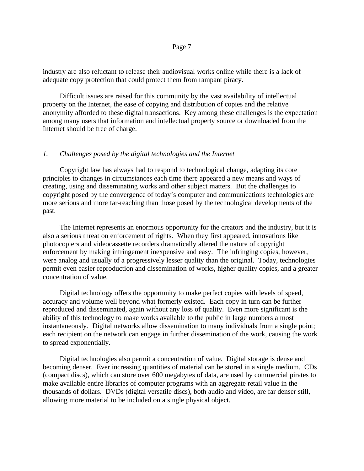industry are also reluctant to release their audiovisual works online while there is a lack of adequate copy protection that could protect them from rampant piracy.

Difficult issues are raised for this community by the vast availability of intellectual property on the Internet, the ease of copying and distribution of copies and the relative anonymity afforded to these digital transactions. Key among these challenges is the expectation among many users that information and intellectual property source or downloaded from the Internet should be free of charge.

## *1. Challenges posed by the digital technologies and the Internet*

Copyright law has always had to respond to technological change, adapting its core principles to changes in circumstances each time there appeared a new means and ways of creating, using and disseminating works and other subject matters. But the challenges to copyright posed by the convergence of today's computer and communications technologies are more serious and more far-reaching than those posed by the technological developments of the past.

The Internet represents an enormous opportunity for the creators and the industry, but it is also a serious threat on enforcement of rights. When they first appeared, innovations like photocopiers and videocassette recorders dramatically altered the nature of copyright enforcement by making infringement inexpensive and easy. The infringing copies, however, were analog and usually of a progressively lesser quality than the original. Today, technologies permit even easier reproduction and dissemination of works, higher quality copies, and a greater concentration of value.

Digital technology offers the opportunity to make perfect copies with levels of speed, accuracy and volume well beyond what formerly existed. Each copy in turn can be further reproduced and disseminated, again without any loss of quality. Even more significant is the ability of this technology to make works available to the public in large numbers almost instantaneously. Digital networks allow dissemination to many individuals from a single point; each recipient on the network can engage in further dissemination of the work, causing the work to spread exponentially.

Digital technologies also permit a concentration of value. Digital storage is dense and becoming denser. Ever increasing quantities of material can be stored in a single medium. CDs (compact discs), which can store over 600 megabytes of data, are used by commercial pirates to make available entire libraries of computer programs with an aggregate retail value in the thousands of dollars. DVDs (digital versatile discs), both audio and video, are far denser still, allowing more material to be included on a single physical object.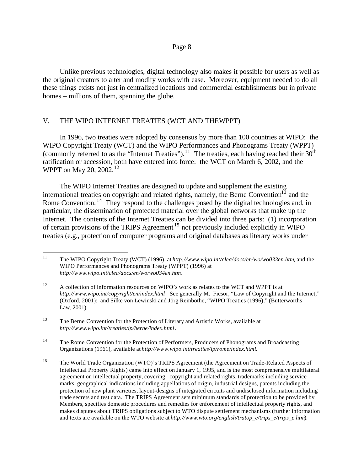Unlike previous technologies, digital technology also makes it possible for users as well as the original creators to alter and modify works with ease. Moreover, equipment needed to do all these things exists not just in centralized locations and commercial establishments but in private homes – millions of them, spanning the globe.

## V. THE WIPO INTERNET TREATIES (WCT AND THEWPPT)

In 1996, two treaties were adopted by consensus by more than 100 countries at WIPO: the WIPO Copyright Treaty (WCT) and the WIPO Performances and Phonograms Treaty (WPPT) (commonly referred to as the "Internet Treaties").<sup>11</sup> The treaties, each having reached their  $30<sup>th</sup>$ ratification or accession, both have entered into force: the WCT on March 6, 2002, and the WPPT on May 20, 2002.<sup>12</sup>

The WIPO Internet Treaties are designed to update and supplement the existing international treaties on copyright and related rights, namely, the Berne Convention<sup>13</sup> and the Rome Convention.<sup>14</sup> They respond to the challenges posed by the digital technologies and, in particular, the dissemination of protected material over the global networks that make up the Internet. The contents of the Internet Treaties can be divided into three parts: (1) incorporation of certain provisions of the TRIPS Agreement <sup>15</sup> not previously included explicitly in WIPO treaties (e.g., protection of computer programs and original databases as literary works under

 $\overline{a}$ 

<sup>11</sup> The WIPO Copyright Treaty (WCT) (1996), at *http://www.wipo.int/clea/docs/en/wo/wo033en.htm*, and the WIPO Performances and Phonograms Treaty (WPPT) (1996) at *http://www.wipo.int/clea/docs/en/wo/wo034en.htm*.

<sup>&</sup>lt;sup>12</sup> A collection of information resources on WIPO's work as relates to the WCT and WPPT is at *http://www.wipo.int/copyright/en/index.html*. See generally M. Ficsor, "Law of Copyright and the Internet," (Oxford, 2001); and Silke von Lewinski and Jörg Reinbothe, "WIPO Treaties (1996)," (Butterworths Law, 2001).

<sup>&</sup>lt;sup>13</sup> The Berne Convention for the Protection of Literary and Artistic Works, available at *http://www.wipo.int/treaties/ip/berne/index.html*.

<sup>&</sup>lt;sup>14</sup> The Rome Convention for the Protection of Performers, Producers of Phonograms and Broadcasting Organizations (1961), available at *http://www.wipo.int/treaties/ip/rome/index.html.*

<sup>&</sup>lt;sup>15</sup> The World Trade Organization (WTO)'s TRIPS Agreement (the Agreement on Trade-Related Aspects of Intellectual Property Rights) came into effect on January 1, 1995, and is the most comprehensive multilateral agreement on intellectual property, covering: copyright and related rights, trademarks including service marks, geographical indications including appellations of origin, industrial designs, patents including the protection of new plant varieties, layout-designs of integrated circuits and undisclosed information including trade secrets and test data. The TRIPS Agreement sets minimum standards of protection to be provided by Members, specifies domestic procedures and remedies for enforcement of intellectual property rights, and makes disputes about TRIPS obligations subject to WTO dispute settlement mechanisms (further information and texts are available on the WTO website at *http://www.wto.org/english/tratop\_e/trips\_e/trips\_e.htm*).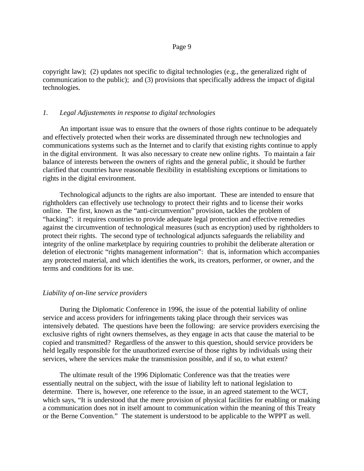copyright law); (2) updates not specific to digital technologies (e.g., the generalized right of communication to the public); and (3) provisions that specifically address the impact of digital technologies.

### *1. Legal Adjustements in response to digital technologies*

An important issue was to ensure that the owners of those rights continue to be adequately and effectively protected when their works are disseminated through new technologies and communications systems such as the Internet and to clarify that existing rights continue to apply in the digital environment. It was also necessary to create new online rights. To maintain a fair balance of interests between the owners of rights and the general public, it should be further clarified that countries have reasonable flexibility in establishing exceptions or limitations to rights in the digital environment.

Technological adjuncts to the rights are also important. These are intended to ensure that rightholders can effectively use technology to protect their rights and to license their works online. The first, known as the "anti-circumvention" provision, tackles the problem of "hacking": it requires countries to provide adequate legal protection and effective remedies against the circumvention of technological measures (such as encryption) used by rightholders to protect their rights. The second type of technological adjuncts safeguards the reliability and integrity of the online marketplace by requiring countries to prohibit the deliberate alteration or deletion of electronic "rights management information": that is, information which accompanies any protected material, and which identifies the work, its creators, performer, or owner, and the terms and conditions for its use.

#### *Liability of on-line service providers*

During the Diplomatic Conference in 1996, the issue of the potential liability of online service and access providers for infringements taking place through their services was intensively debated. The questions have been the following: are service providers exercising the exclusive rights of right owners themselves, as they engage in acts that cause the material to be copied and transmitted? Regardless of the answer to this question, should service providers be held legally responsible for the unauthorized exercise of those rights by individuals using their services, where the services make the transmission possible, and if so, to what extent?

The ultimate result of the 1996 Diplomatic Conference was that the treaties were essentially neutral on the subject, with the issue of liability left to national legislation to determine. There is, however, one reference to the issue, in an agreed statement to the WCT, which says, "It is understood that the mere provision of physical facilities for enabling or making a communication does not in itself amount to communication within the meaning of this Treaty or the Berne Convention." The statement is understood to be applicable to the WPPT as well.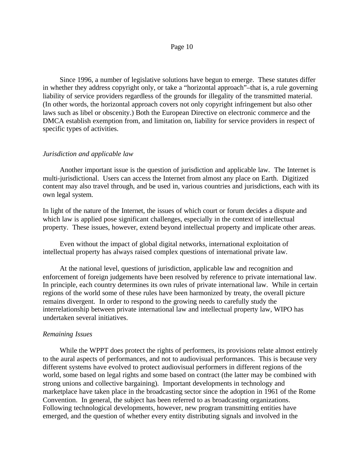Since 1996, a number of legislative solutions have begun to emerge. These statutes differ in whether they address copyright only, or take a "horizontal approach"–that is, a rule governing liability of service providers regardless of the grounds for illegality of the transmitted material. (In other words, the horizontal approach covers not only copyright infringement but also other laws such as libel or obscenity.) Both the European Directive on electronic commerce and the DMCA establish exemption from, and limitation on, liability for service providers in respect of specific types of activities.

### *Jurisdiction and applicable law*

Another important issue is the question of jurisdiction and applicable law. The Internet is multi-jurisdictional. Users can access the Internet from almost any place on Earth. Digitized content may also travel through, and be used in, various countries and jurisdictions, each with its own legal system.

In light of the nature of the Internet, the issues of which court or forum decides a dispute and which law is applied pose significant challenges, especially in the context of intellectual property. These issues, however, extend beyond intellectual property and implicate other areas.

Even without the impact of global digital networks, international exploitation of intellectual property has always raised complex questions of international private law.

At the national level, questions of jurisdiction, applicable law and recognition and enforcement of foreign judgements have been resolved by reference to private international law. In principle, each country determines its own rules of private international law. While in certain regions of the world some of these rules have been harmonized by treaty, the overall picture remains divergent. In order to respond to the growing needs to carefully study the interrelationship between private international law and intellectual property law, WIPO has undertaken several initiatives.

#### *Remaining Issues*

While the WPPT does protect the rights of performers, its provisions relate almost entirely to the aural aspects of performances, and not to audiovisual performances. This is because very different systems have evolved to protect audiovisual performers in different regions of the world, some based on legal rights and some based on contract (the latter may be combined with strong unions and collective bargaining). Important developments in technology and marketplace have taken place in the broadcasting sector since the adoption in 1961 of the Rome Convention. In general, the subject has been referred to as broadcasting organizations. Following technological developments, however, new program transmitting entities have emerged, and the question of whether every entity distributing signals and involved in the